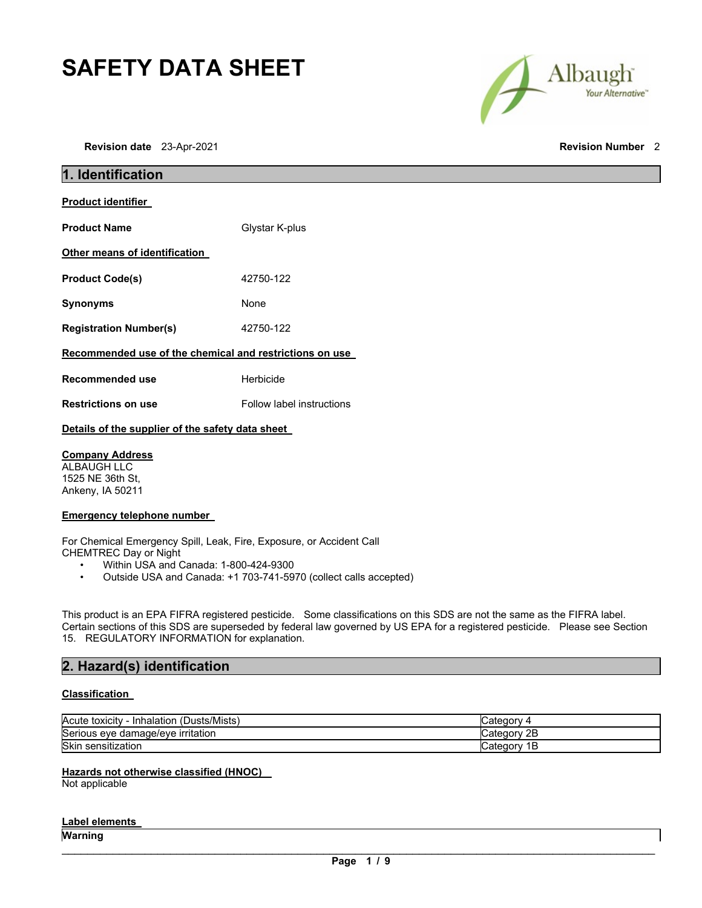# **SAFETY DATA SHEET**

Albaugh Your Alternative"

| 1. Identification                                       |                           |
|---------------------------------------------------------|---------------------------|
| <b>Product identifier</b>                               |                           |
| <b>Product Name</b>                                     | Glystar K-plus            |
| Other means of identification                           |                           |
| <b>Product Code(s)</b>                                  | 42750-122                 |
| <b>Synonyms</b>                                         | None                      |
| <b>Registration Number(s)</b>                           | 42750-122                 |
| Recommended use of the chemical and restrictions on use |                           |
| <b>Recommended use</b>                                  | Herbicide                 |
| <b>Restrictions on use</b>                              | Follow label instructions |
|                                                         |                           |

### **Details of the supplier of the safety data sheet**

### **Company Address**

ALBAUGH LLC 1525 NE 36th St, Ankeny, IA 50211

#### **Emergency telephone number**

For Chemical Emergency Spill, Leak, Fire, Exposure, or Accident Call CHEMTREC Day or Night

- Within USA and Canada: 1-800-424-9300<br>• Outside USA and Canada: +1 703-741-59
- Outside USA and Canada: +1 703-741-5970 (collect calls accepted)

This product is an EPA FIFRA registered pesticide. Some classifications on this SDS are not the same as the FIFRA label. Certain sections of this SDS are superseded by federal law governed by US EPA for a registered pesticide. Please see Section 15. REGULATORY INFORMATION for explanation.

### **2. Hazard(s) identification**

#### **Classification**

| (Dusts/Mists)<br>Inhalation<br>Acute toxicity | ″ ategory۔                          |
|-----------------------------------------------|-------------------------------------|
| Serious eve damage/eve irritation             | v 2B<br>∵ategoryٽ                   |
| <b>Skin</b><br>sensitization                  | ِ ategor <sup>,</sup> ن<br>. .<br>− |

#### **Hazards not otherwise classified (HNOC)**

Not applicable

#### **Label elements**

**Warning**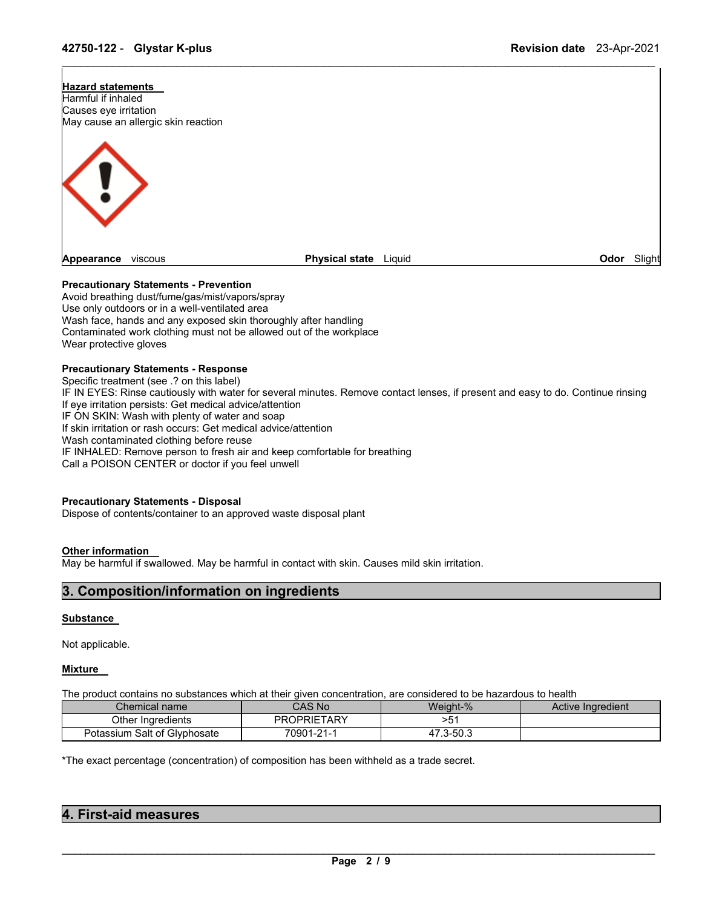

\_\_\_\_\_\_\_\_\_\_\_\_\_\_\_\_\_\_\_\_\_\_\_\_\_\_\_\_\_\_\_\_\_\_\_\_\_\_\_\_\_\_\_\_\_\_\_\_\_\_\_\_\_\_\_\_\_\_\_\_\_\_\_\_\_\_\_\_\_\_\_\_\_\_\_\_\_\_\_\_\_\_\_\_\_\_\_\_\_\_\_\_\_

#### **Precautionary Statements - Prevention**

Avoid breathing dust/fume/gas/mist/vapors/spray Use only outdoors or in a well-ventilated area Wash face, hands and any exposed skin thoroughly after handling Contaminated work clothing must not be allowed out of the workplace Wear protective gloves

#### **Precautionary Statements - Response**

Specific treatment (see .? on this label) IF IN EYES: Rinse cautiously with water for several minutes. Remove contact lenses, if present and easy to do. Continue rinsing If eye irritation persists: Get medical advice/attention IF ON SKIN: Wash with plenty of water and soap If skin irritation or rash occurs: Get medical advice/attention Wash contaminated clothing before reuse IF INHALED: Remove person to fresh air and keep comfortable for breathing Call a POISON CENTER or doctor if you feel unwell

#### **Precautionary Statements - Disposal**

Dispose of contents/container to an approved waste disposal plant

#### **Other information**

May be harmful if swallowed. May be harmful in contact with skin. Causes mild skin irritation.

### **3. Composition/information on ingredients**

#### **Substance**

Not applicable.

#### **Mixture**

The product contains no substances which at their given concentration, are considered to be hazardous to health

| Chemical name                | CAS No             | Weight-%      | Active Ingredient |
|------------------------------|--------------------|---------------|-------------------|
| Other Ingredients            | <b>PROPRIETARY</b> | 55<br>. ن-    |                   |
| Potassium Salt of Glyphosate | 70901-21-1         | .3-50.3<br>47 |                   |

\*The exact percentage (concentration) of composition has been withheld as a trade secret.

| 4. First-aid measures |  |
|-----------------------|--|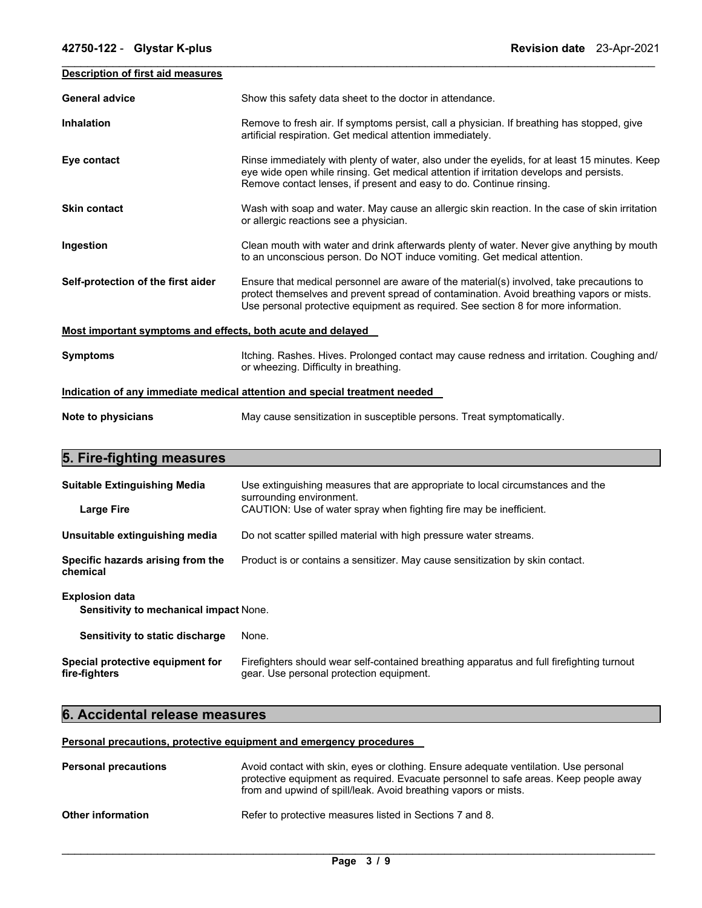| <b>Description of first aid measures</b>                    |                                                                                                                                                                                                                                                                            |  |
|-------------------------------------------------------------|----------------------------------------------------------------------------------------------------------------------------------------------------------------------------------------------------------------------------------------------------------------------------|--|
|                                                             |                                                                                                                                                                                                                                                                            |  |
| <b>General advice</b>                                       | Show this safety data sheet to the doctor in attendance.                                                                                                                                                                                                                   |  |
| <b>Inhalation</b>                                           | Remove to fresh air. If symptoms persist, call a physician. If breathing has stopped, give<br>artificial respiration. Get medical attention immediately.                                                                                                                   |  |
| Eye contact                                                 | Rinse immediately with plenty of water, also under the eyelids, for at least 15 minutes. Keep<br>eye wide open while rinsing. Get medical attention if irritation develops and persists.<br>Remove contact lenses, if present and easy to do. Continue rinsing.            |  |
| <b>Skin contact</b>                                         | Wash with soap and water. May cause an allergic skin reaction. In the case of skin irritation<br>or allergic reactions see a physician.                                                                                                                                    |  |
| Ingestion                                                   | Clean mouth with water and drink afterwards plenty of water. Never give anything by mouth<br>to an unconscious person. Do NOT induce vomiting. Get medical attention.                                                                                                      |  |
| Self-protection of the first aider                          | Ensure that medical personnel are aware of the material(s) involved, take precautions to<br>protect themselves and prevent spread of contamination. Avoid breathing vapors or mists.<br>Use personal protective equipment as required. See section 8 for more information. |  |
| Most important symptoms and effects, both acute and delayed |                                                                                                                                                                                                                                                                            |  |
| <b>Symptoms</b>                                             | Itching. Rashes. Hives. Prolonged contact may cause redness and irritation. Coughing and/<br>or wheezing. Difficulty in breathing.                                                                                                                                         |  |
|                                                             | Indication of any immediate medical attention and special treatment needed                                                                                                                                                                                                 |  |
| Note to physicians                                          | May cause sensitization in susceptible persons. Treat symptomatically.                                                                                                                                                                                                     |  |
| 5. Fire-fighting measures                                   |                                                                                                                                                                                                                                                                            |  |
| <b>Suitable Extinguishing Media</b>                         | Use extinguishing measures that are appropriate to local circumstances and the<br>surrounding environment.                                                                                                                                                                 |  |
| <b>Large Fire</b>                                           | CAUTION: Use of water spray when fighting fire may be inefficient.                                                                                                                                                                                                         |  |
| Unsuitable extinguishing media                              | Do not scatter spilled material with high pressure water streams.                                                                                                                                                                                                          |  |

| Specific hazards arising from the | Product is or contains a sensitizer. May cause sensitization by skin contact. |
|-----------------------------------|-------------------------------------------------------------------------------|
| chemical                          |                                                                               |

#### **Explosion data**

**Sensitivity to mechanical impact** None.

| Sensitivity to static discharge | None. |
|---------------------------------|-------|
|---------------------------------|-------|

| Special protective equipment for | Firefighters should wear self-contained breathing apparatus and full firefighting turnout |
|----------------------------------|-------------------------------------------------------------------------------------------|
| fire-fighters                    | gear. Use personal protection equipment.                                                  |

# **6. Accidental release measures**

#### **Personal precautions, protective equipment and emergency procedures**

| <b>Personal precautions</b> | Avoid contact with skin, eyes or clothing. Ensure adequate ventilation. Use personal<br>protective equipment as required. Evacuate personnel to safe areas. Keep people away<br>from and upwind of spill/leak. Avoid breathing vapors or mists. |
|-----------------------------|-------------------------------------------------------------------------------------------------------------------------------------------------------------------------------------------------------------------------------------------------|
| <b>Other information</b>    | Refer to protective measures listed in Sections 7 and 8.                                                                                                                                                                                        |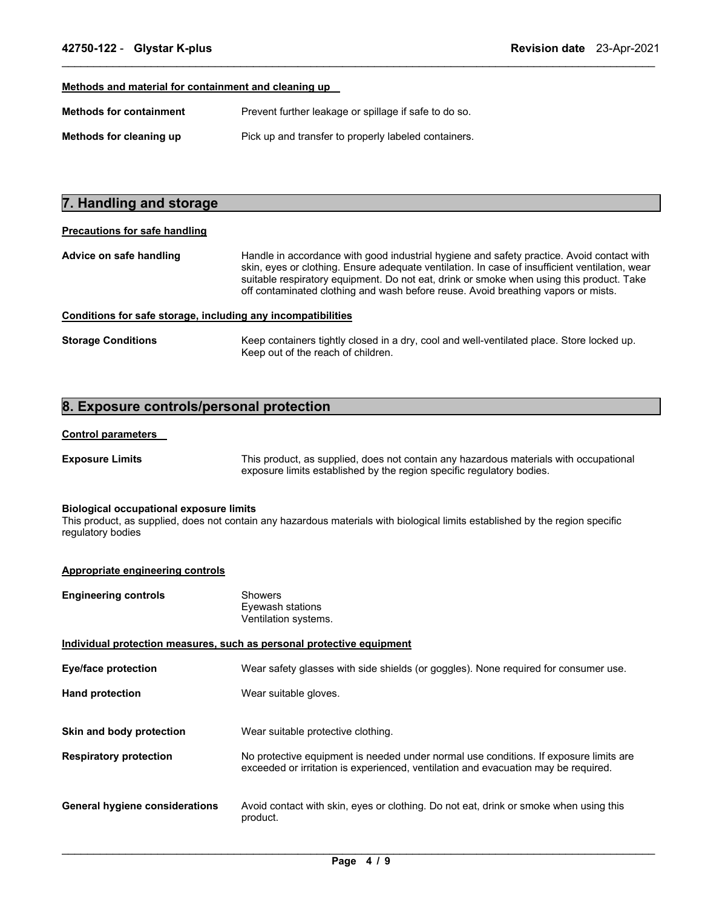#### **Methods and material for containment and cleaning up**

| <b>Methods for containment</b> | Prevent further leakage or spillage if safe to do so. |
|--------------------------------|-------------------------------------------------------|
| Methods for cleaning up        | Pick up and transfer to properly labeled containers.  |

# **7. Handling and storage**

#### **Precautions for safe handling**

**Advice on safe handling** Handle in accordance with good industrial hygiene and safety practice. Avoid contact with skin, eyes or clothing. Ensure adequate ventilation. In case of insufficient ventilation, wear suitable respiratory equipment. Do not eat, drink or smoke when using this product. Take off contaminated clothing and wash before reuse. Avoid breathing vapors or mists.

\_\_\_\_\_\_\_\_\_\_\_\_\_\_\_\_\_\_\_\_\_\_\_\_\_\_\_\_\_\_\_\_\_\_\_\_\_\_\_\_\_\_\_\_\_\_\_\_\_\_\_\_\_\_\_\_\_\_\_\_\_\_\_\_\_\_\_\_\_\_\_\_\_\_\_\_\_\_\_\_\_\_\_\_\_\_\_\_\_\_\_\_\_

#### **Conditions for safe storage, including any incompatibilities**

**Storage Conditions** Keep containers tightly closed in a dry, cool and well-ventilated place. Store locked up. Keep out of the reach of children.

#### **8. Exposure controls/personal protection**

#### **Control parameters**

**Exposure Limits** This product, as supplied, does not contain any hazardous materials with occupational exposure limits established by the region specific regulatory bodies.

#### **Biological occupational exposure limits**

This product, as supplied, does not contain any hazardous materials with biological limits established by the region specific regulatory bodies

#### **Appropriate engineering controls**

| <b>Engineering controls</b>                                           | <b>Showers</b><br>Eyewash stations<br>Ventilation systems.                                                                                                                  |
|-----------------------------------------------------------------------|-----------------------------------------------------------------------------------------------------------------------------------------------------------------------------|
| Individual protection measures, such as personal protective equipment |                                                                                                                                                                             |
| <b>Eye/face protection</b>                                            | Wear safety glasses with side shields (or goggles). None required for consumer use.                                                                                         |
| <b>Hand protection</b>                                                | Wear suitable gloves.                                                                                                                                                       |
| Skin and body protection                                              | Wear suitable protective clothing.                                                                                                                                          |
| <b>Respiratory protection</b>                                         | No protective equipment is needed under normal use conditions. If exposure limits are<br>exceeded or irritation is experienced, ventilation and evacuation may be required. |
| <b>General hygiene considerations</b>                                 | Avoid contact with skin, eyes or clothing. Do not eat, drink or smoke when using this<br>product.                                                                           |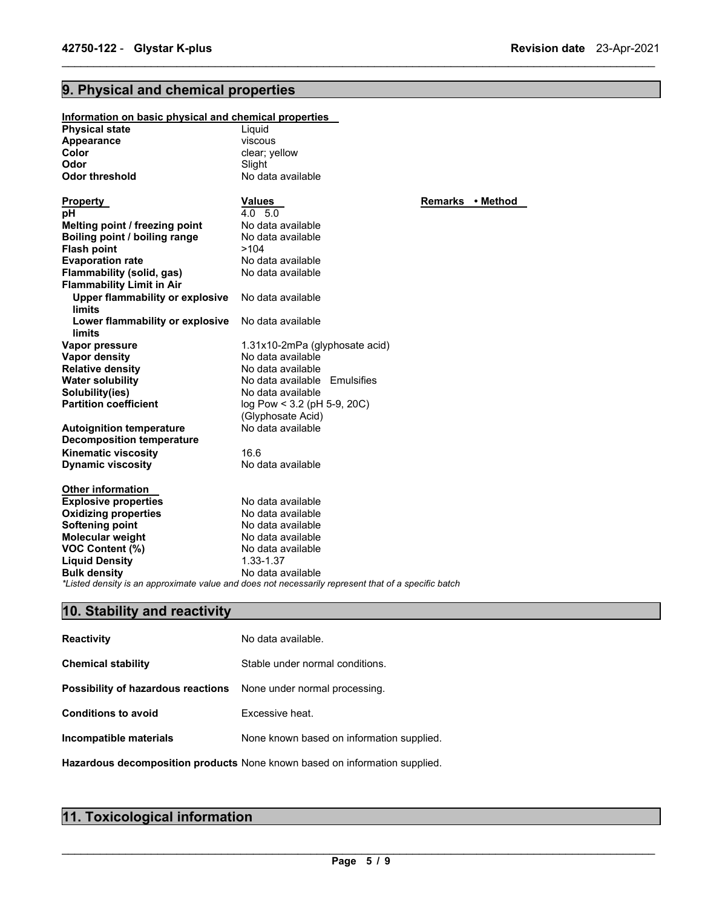# **9. Physical and chemical properties**

| Information on basic physical and chemical properties         |                                                                                                     |                  |  |
|---------------------------------------------------------------|-----------------------------------------------------------------------------------------------------|------------------|--|
| <b>Physical state</b>                                         | Liquid                                                                                              |                  |  |
| Appearance                                                    | viscous                                                                                             |                  |  |
| Color                                                         | clear; yellow                                                                                       |                  |  |
| Odor                                                          | Slight                                                                                              |                  |  |
| <b>Odor threshold</b>                                         | No data available                                                                                   |                  |  |
| <b>Property</b>                                               | <b>Values</b>                                                                                       | Remarks • Method |  |
| рH                                                            | $4.0\quad 5.0$                                                                                      |                  |  |
| Melting point / freezing point                                | No data available                                                                                   |                  |  |
| Boiling point / boiling range                                 | No data available                                                                                   |                  |  |
| <b>Flash point</b>                                            | >104                                                                                                |                  |  |
| <b>Evaporation rate</b>                                       | No data available                                                                                   |                  |  |
| Flammability (solid, gas)<br><b>Flammability Limit in Air</b> | No data available                                                                                   |                  |  |
| <b>Upper flammability or explosive</b><br>limits              | No data available                                                                                   |                  |  |
| Lower flammability or explosive<br>limits                     | No data available                                                                                   |                  |  |
| Vapor pressure                                                | 1.31x10-2mPa (glyphosate acid)                                                                      |                  |  |
| Vapor density                                                 | No data available                                                                                   |                  |  |
| <b>Relative density</b>                                       | No data available                                                                                   |                  |  |
| <b>Water solubility</b>                                       | No data available Emulsifies                                                                        |                  |  |
| Solubility(ies)                                               | No data available                                                                                   |                  |  |
| <b>Partition coefficient</b>                                  | log Pow < 3.2 (pH 5-9, 20C)                                                                         |                  |  |
|                                                               | (Glyphosate Acid)                                                                                   |                  |  |
| <b>Autoignition temperature</b>                               | No data available                                                                                   |                  |  |
| <b>Decomposition temperature</b>                              |                                                                                                     |                  |  |
| <b>Kinematic viscosity</b>                                    | 16.6                                                                                                |                  |  |
| <b>Dynamic viscosity</b>                                      | No data available                                                                                   |                  |  |
| <b>Other information</b>                                      |                                                                                                     |                  |  |
| <b>Explosive properties</b>                                   | No data available                                                                                   |                  |  |
| <b>Oxidizing properties</b>                                   | No data available                                                                                   |                  |  |
| <b>Softening point</b>                                        | No data available                                                                                   |                  |  |
| Molecular weight                                              | No data available                                                                                   |                  |  |
| <b>VOC Content (%)</b>                                        | No data available                                                                                   |                  |  |
| <b>Liquid Density</b>                                         | 1.33-1.37                                                                                           |                  |  |
| <b>Bulk density</b>                                           | No data available                                                                                   |                  |  |
|                                                               | *Listed density is an approximate value and does not necessarily represent that of a specific batch |                  |  |

\_\_\_\_\_\_\_\_\_\_\_\_\_\_\_\_\_\_\_\_\_\_\_\_\_\_\_\_\_\_\_\_\_\_\_\_\_\_\_\_\_\_\_\_\_\_\_\_\_\_\_\_\_\_\_\_\_\_\_\_\_\_\_\_\_\_\_\_\_\_\_\_\_\_\_\_\_\_\_\_\_\_\_\_\_\_\_\_\_\_\_\_\_

# **10. Stability and reactivity**

| <b>Reactivity</b>                  | No data available.                                                         |
|------------------------------------|----------------------------------------------------------------------------|
| <b>Chemical stability</b>          | Stable under normal conditions.                                            |
| Possibility of hazardous reactions | None under normal processing.                                              |
| <b>Conditions to avoid</b>         | Excessive heat.                                                            |
| Incompatible materials             | None known based on information supplied.                                  |
|                                    | Hazardous decomposition products None known based on information supplied. |

# **11. Toxicological information**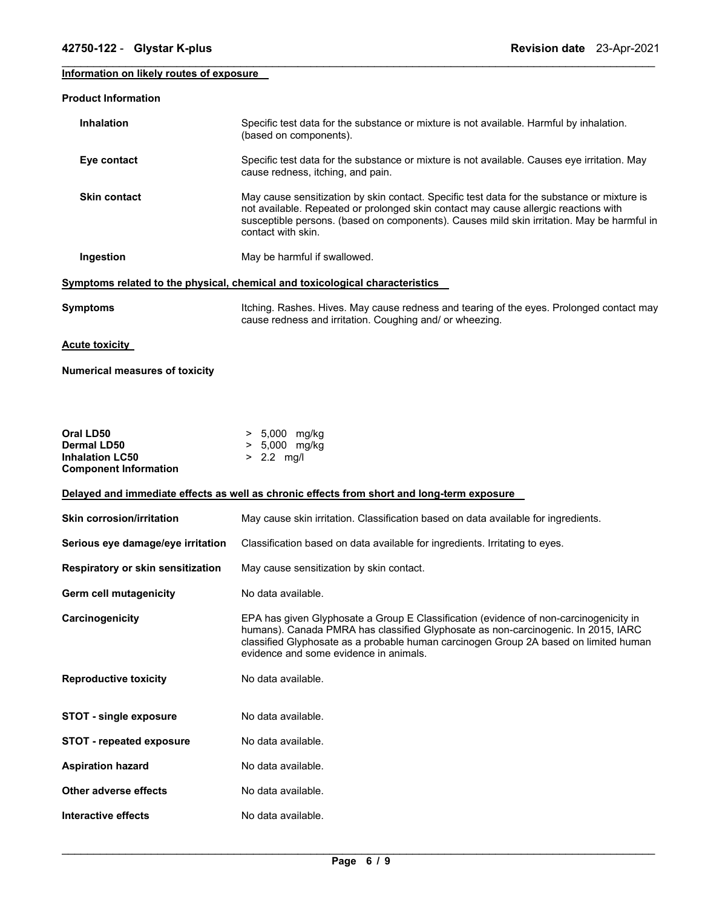| 42750-122 - Glystar K-plus                             | Revision date 23-Apr-2021                                                                                                                                                                                                                                                                                    |
|--------------------------------------------------------|--------------------------------------------------------------------------------------------------------------------------------------------------------------------------------------------------------------------------------------------------------------------------------------------------------------|
| Information on likely routes of exposure               |                                                                                                                                                                                                                                                                                                              |
| <b>Product Information</b>                             |                                                                                                                                                                                                                                                                                                              |
| <b>Inhalation</b>                                      | Specific test data for the substance or mixture is not available. Harmful by inhalation.<br>(based on components).                                                                                                                                                                                           |
| Eye contact                                            | Specific test data for the substance or mixture is not available. Causes eye irritation. May<br>cause redness, itching, and pain.                                                                                                                                                                            |
| <b>Skin contact</b>                                    | May cause sensitization by skin contact. Specific test data for the substance or mixture is<br>not available. Repeated or prolonged skin contact may cause allergic reactions with<br>susceptible persons. (based on components). Causes mild skin irritation. May be harmful in<br>contact with skin.       |
| Ingestion                                              | May be harmful if swallowed.                                                                                                                                                                                                                                                                                 |
|                                                        | Symptoms related to the physical, chemical and toxicological characteristics                                                                                                                                                                                                                                 |
| <b>Symptoms</b>                                        | Itching. Rashes. Hives. May cause redness and tearing of the eyes. Prolonged contact may<br>cause redness and irritation. Coughing and/ or wheezing.                                                                                                                                                         |
| <b>Acute toxicity</b>                                  |                                                                                                                                                                                                                                                                                                              |
| <b>Numerical measures of toxicity</b>                  |                                                                                                                                                                                                                                                                                                              |
|                                                        |                                                                                                                                                                                                                                                                                                              |
|                                                        |                                                                                                                                                                                                                                                                                                              |
| Oral LD50<br><b>Dermal LD50</b>                        | > 5,000 mg/kg<br>> 5,000 mg/kg                                                                                                                                                                                                                                                                               |
| <b>Inhalation LC50</b><br><b>Component Information</b> | $> 2.2$ mg/l                                                                                                                                                                                                                                                                                                 |
|                                                        | Delayed and immediate effects as well as chronic effects from short and long-term exposure                                                                                                                                                                                                                   |
| <b>Skin corrosion/irritation</b>                       | May cause skin irritation. Classification based on data available for ingredients.                                                                                                                                                                                                                           |
| Serious eye damage/eye irritation                      | Classification based on data available for ingredients. Irritating to eyes.                                                                                                                                                                                                                                  |
| Respiratory or skin sensitization                      | May cause sensitization by skin contact.                                                                                                                                                                                                                                                                     |
| <b>Germ cell mutagenicity</b>                          | No data available.                                                                                                                                                                                                                                                                                           |
|                                                        |                                                                                                                                                                                                                                                                                                              |
| Carcinogenicity                                        | EPA has given Glyphosate a Group E Classification (evidence of non-carcinogenicity in<br>humans). Canada PMRA has classified Glyphosate as non-carcinogenic. In 2015, IARC<br>classified Glyphosate as a probable human carcinogen Group 2A based on limited human<br>evidence and some evidence in animals. |
| <b>Reproductive toxicity</b>                           | No data available.                                                                                                                                                                                                                                                                                           |

**STOT - single exposure** No data available.

**STOT - repeated exposure** No data available.

**Aspiration hazard Mo data available.** 

**Other adverse effects** No data available.

**Interactive effects** No data available.

\_\_\_\_\_\_\_\_\_\_\_\_\_\_\_\_\_\_\_\_\_\_\_\_\_\_\_\_\_\_\_\_\_\_\_\_\_\_\_\_\_\_\_\_\_\_\_\_\_\_\_\_\_\_\_\_\_\_\_\_\_\_\_\_\_\_\_\_\_\_\_\_\_\_\_\_\_\_\_\_\_\_\_\_\_\_\_\_\_\_\_\_\_ **Page 6 / 9**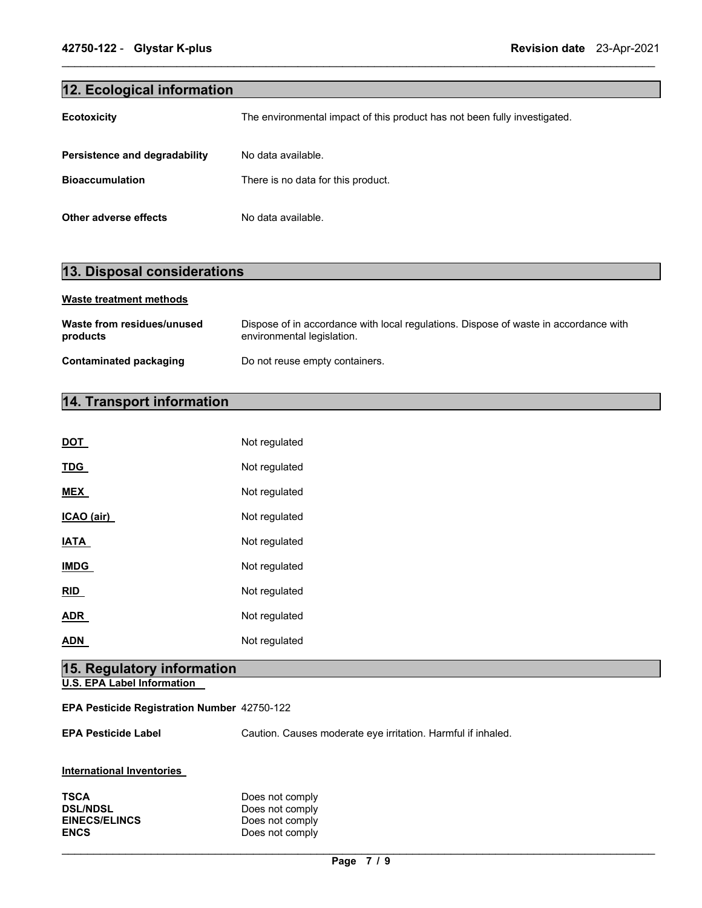## **12. Ecological information**

| <b>Ecotoxicity</b>            | The environmental impact of this product has not been fully investigated. |
|-------------------------------|---------------------------------------------------------------------------|
| Persistence and degradability | No data available.                                                        |
| <b>Bioaccumulation</b>        | There is no data for this product.                                        |
| Other adverse effects         | No data available.                                                        |

\_\_\_\_\_\_\_\_\_\_\_\_\_\_\_\_\_\_\_\_\_\_\_\_\_\_\_\_\_\_\_\_\_\_\_\_\_\_\_\_\_\_\_\_\_\_\_\_\_\_\_\_\_\_\_\_\_\_\_\_\_\_\_\_\_\_\_\_\_\_\_\_\_\_\_\_\_\_\_\_\_\_\_\_\_\_\_\_\_\_\_\_\_

### **13. Disposal considerations**

#### **Waste treatment methods**

| Waste from residues/unused | Dispose of in accordance with local regulations. Dispose of waste in accordance with |
|----------------------------|--------------------------------------------------------------------------------------|
| products                   | environmental legislation.                                                           |
| Contaminated packaging     | Do not reuse empty containers.                                                       |

# **14. Transport information**

| <b>DOT</b>  | Not regulated |
|-------------|---------------|
| <b>TDG</b>  | Not regulated |
| <b>MEX</b>  | Not regulated |
| ICAO (air)  | Not regulated |
| <b>IATA</b> | Not regulated |
| <b>IMDG</b> | Not regulated |
| <b>RID</b>  | Not regulated |
| ADR         | Not regulated |
| ADN         | Not regulated |

# **15. Regulatory information**

**U.S. EPA Label Information** 

#### **EPA Pesticide Registration Number** 42750-122

**EPA Pesticide Label** Caution. Causes moderate eye irritation. Harmful if inhaled.

| International Inventories |  |
|---------------------------|--|
|                           |  |

| TSCA                 | Does not comply |
|----------------------|-----------------|
| <b>DSL/NDSL</b>      | Does not comply |
| <b>EINECS/ELINCS</b> | Does not comply |
| ENCS                 | Does not comply |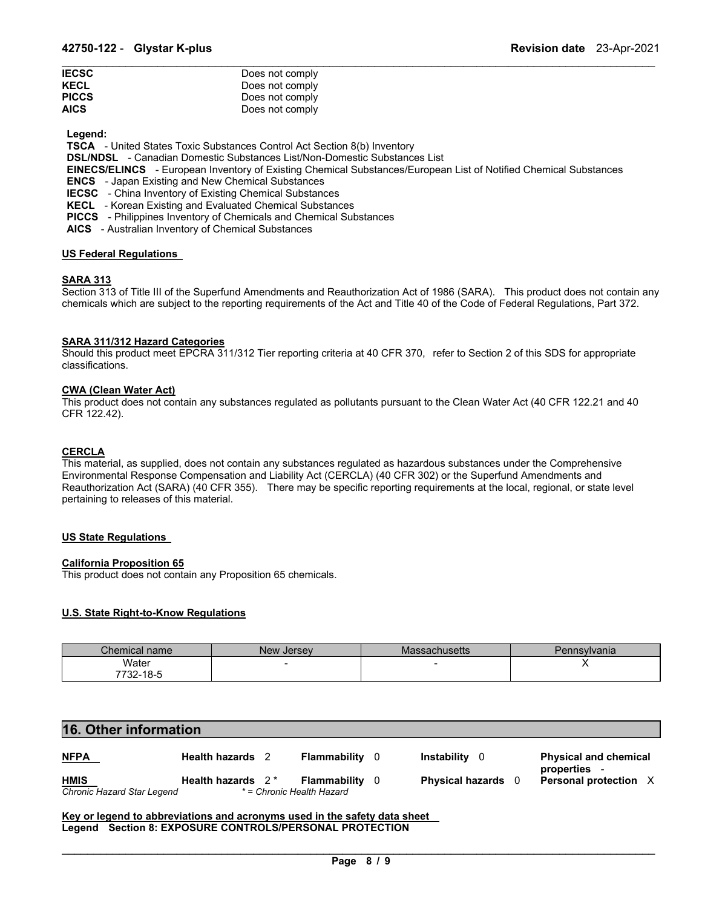| <b>IECSC</b> | Does not comply |
|--------------|-----------------|
| KECL         | Does not comply |
| <b>PICCS</b> | Does not comply |
| AICS         | Does not comply |

**Legend:** 

**TSCA** - United States Toxic Substances Control Act Section 8(b) Inventory

**DSL/NDSL** - Canadian Domestic Substances List/Non-Domestic Substances List

**EINECS/ELINCS** - European Inventory of Existing Chemical Substances/European List of Notified Chemical Substances

\_\_\_\_\_\_\_\_\_\_\_\_\_\_\_\_\_\_\_\_\_\_\_\_\_\_\_\_\_\_\_\_\_\_\_\_\_\_\_\_\_\_\_\_\_\_\_\_\_\_\_\_\_\_\_\_\_\_\_\_\_\_\_\_\_\_\_\_\_\_\_\_\_\_\_\_\_\_\_\_\_\_\_\_\_\_\_\_\_\_\_\_\_

**ENCS** - Japan Existing and New Chemical Substances

**IECSC** - China Inventory of Existing Chemical Substances

**KECL** - Korean Existing and Evaluated Chemical Substances

**PICCS** - Philippines Inventory of Chemicals and Chemical Substances

**AICS** - Australian Inventory of Chemical Substances

#### **US Federal Regulations**

#### **SARA 313**

Section 313 of Title III of the Superfund Amendments and Reauthorization Act of 1986 (SARA). This product does not contain any chemicals which are subject to the reporting requirements of the Act and Title 40 of the Code of Federal Regulations, Part 372.

#### **SARA 311/312 Hazard Categories**

Should this product meet EPCRA 311/312 Tier reporting criteria at 40 CFR 370, refer to Section 2 of this SDS for appropriate classifications.

#### **CWA (Clean Water Act)**

This product does not contain any substances regulated as pollutants pursuant to the Clean Water Act (40 CFR 122.21 and 40 CFR 122.42).

#### **CERCLA**

This material, as supplied, does not contain any substances regulated as hazardous substances under the Comprehensive Environmental Response Compensation and Liability Act (CERCLA) (40 CFR 302) or the Superfund Amendments and Reauthorization Act (SARA) (40 CFR 355). There may be specific reporting requirements at the local, regional, or state level pertaining to releases of this material.

#### **US State Regulations**

#### **California Proposition 65**

This product does not contain any Proposition 65 chemicals.

#### **U.S. State Right-to-Know Regulations**

| Chemical name    | New Jersey | Massachusetts | 'ennsvlvanıa |
|------------------|------------|---------------|--------------|
| Water            |            | $\sim$        |              |
| 7700<br>732-18-5 |            |               |              |

#### **16. Other information**

| <b>NFPA</b>                | Health hazards 2     | <b>Flammability</b> 0     |     | <b>Instability</b> 0    | <b>Physical and chemical</b><br>properties - |
|----------------------------|----------------------|---------------------------|-----|-------------------------|----------------------------------------------|
| <b>HMIS</b>                | Health hazards $2^*$ | Flammability              | - 0 | <b>Physical hazards</b> | <b>Personal protection X</b>                 |
| Chronic Hazard Star Legend |                      | * = Chronic Health Hazard |     |                         |                                              |

**Key or legend to abbreviations and acronyms used in the safety data sheet Legend Section 8: EXPOSURE CONTROLS/PERSONAL PROTECTION**